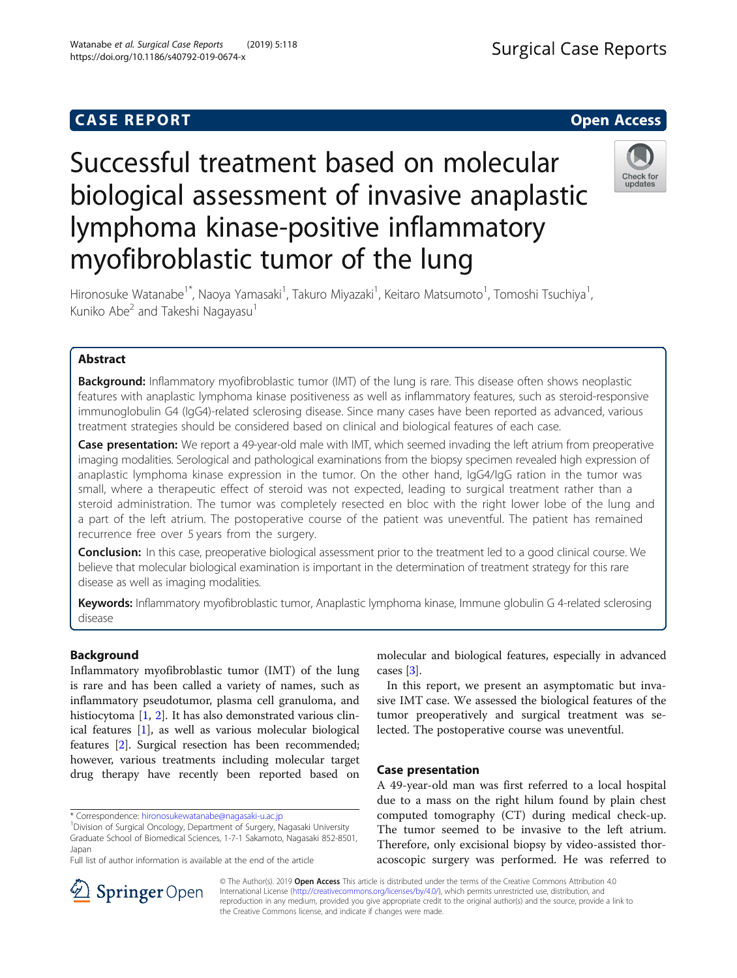## **CASE REPORT CASE REPORT**

## **Surgical Case Reports**

# Successful treatment based on molecular biological assessment of invasive anaplastic lymphoma kinase-positive inflammatory myofibroblastic tumor of the lung



Hironosuke Watanabe<sup>1\*</sup>, Naoya Yamasaki<sup>1</sup>, Takuro Miyazaki<sup>1</sup>, Keitaro Matsumoto<sup>1</sup>, Tomoshi Tsuchiya<sup>1</sup> , Kuniko Abe<sup>2</sup> and Takeshi Nagayasu<sup>1</sup>

### Abstract

**Background:** Inflammatory myofibroblastic tumor (IMT) of the lung is rare. This disease often shows neoplastic features with anaplastic lymphoma kinase positiveness as well as inflammatory features, such as steroid-responsive immunoglobulin G4 (IgG4)-related sclerosing disease. Since many cases have been reported as advanced, various treatment strategies should be considered based on clinical and biological features of each case.

Case presentation: We report a 49-year-old male with IMT, which seemed invading the left atrium from preoperative imaging modalities. Serological and pathological examinations from the biopsy specimen revealed high expression of anaplastic lymphoma kinase expression in the tumor. On the other hand, IgG4/IgG ration in the tumor was small, where a therapeutic effect of steroid was not expected, leading to surgical treatment rather than a steroid administration. The tumor was completely resected en bloc with the right lower lobe of the lung and a part of the left atrium. The postoperative course of the patient was uneventful. The patient has remained recurrence free over 5 years from the surgery.

Conclusion: In this case, preoperative biological assessment prior to the treatment led to a good clinical course. We believe that molecular biological examination is important in the determination of treatment strategy for this rare disease as well as imaging modalities.

Keywords: Inflammatory myofibroblastic tumor, Anaplastic lymphoma kinase, Immune globulin G 4-related sclerosing disease

#### Background

Inflammatory myofibroblastic tumor (IMT) of the lung is rare and has been called a variety of names, such as inflammatory pseudotumor, plasma cell granuloma, and histiocytoma [\[1](#page-3-0), [2](#page-3-0)]. It has also demonstrated various clinical features [[1\]](#page-3-0), as well as various molecular biological features [\[2\]](#page-3-0). Surgical resection has been recommended; however, various treatments including molecular target drug therapy have recently been reported based on

Full list of author information is available at the end of the article

molecular and biological features, especially in advanced cases [[3\]](#page-3-0).

In this report, we present an asymptomatic but invasive IMT case. We assessed the biological features of the tumor preoperatively and surgical treatment was selected. The postoperative course was uneventful.

#### Case presentation

A 49-year-old man was first referred to a local hospital due to a mass on the right hilum found by plain chest computed tomography (CT) during medical check-up. The tumor seemed to be invasive to the left atrium. Therefore, only excisional biopsy by video-assisted thoracoscopic surgery was performed. He was referred to



© The Author(s). 2019 Open Access This article is distributed under the terms of the Creative Commons Attribution 4.0 International License ([http://creativecommons.org/licenses/by/4.0/\)](http://creativecommons.org/licenses/by/4.0/), which permits unrestricted use, distribution, and reproduction in any medium, provided you give appropriate credit to the original author(s) and the source, provide a link to the Creative Commons license, and indicate if changes were made.

<sup>\*</sup> Correspondence: [hironosukewatanabe@nagasaki-u.ac.jp](mailto:hironosukewatanabe@nagasaki-u.ac.jp) <sup>1</sup>

<sup>&</sup>lt;sup>1</sup> Division of Surgical Oncology, Department of Surgery, Nagasaki University Graduate School of Biomedical Sciences, 1-7-1 Sakamoto, Nagasaki 852-8501, Japan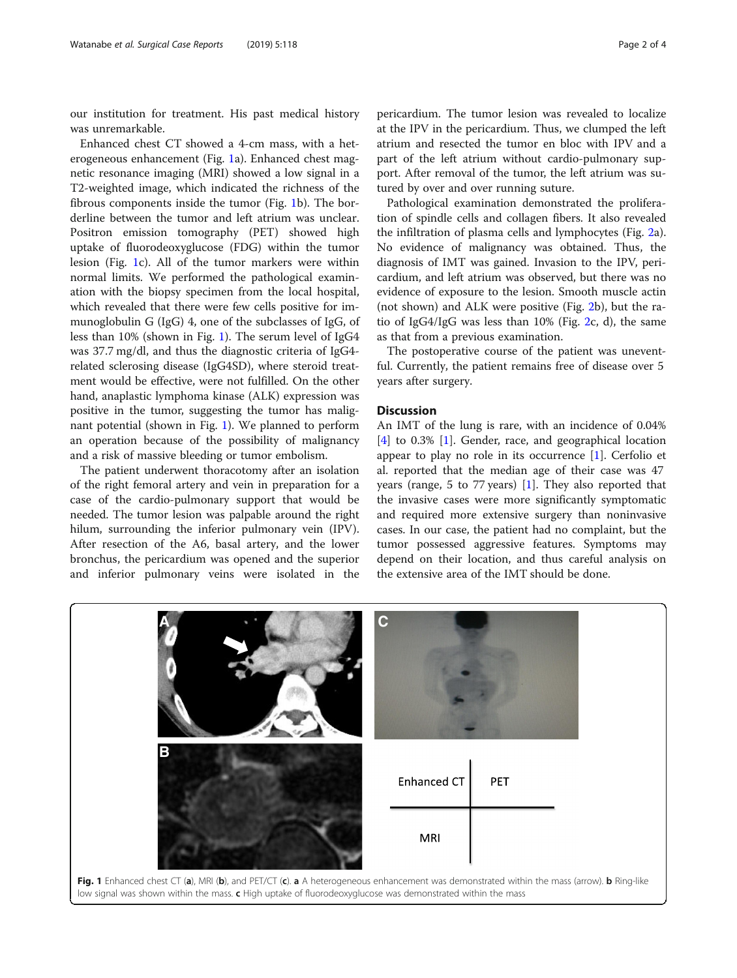our institution for treatment. His past medical history was unremarkable.

Enhanced chest CT showed a 4-cm mass, with a heterogeneous enhancement (Fig. 1a). Enhanced chest magnetic resonance imaging (MRI) showed a low signal in a T2-weighted image, which indicated the richness of the fibrous components inside the tumor (Fig. 1b). The borderline between the tumor and left atrium was unclear. Positron emission tomography (PET) showed high uptake of fluorodeoxyglucose (FDG) within the tumor lesion (Fig. 1c). All of the tumor markers were within normal limits. We performed the pathological examination with the biopsy specimen from the local hospital, which revealed that there were few cells positive for immunoglobulin G (IgG) 4, one of the subclasses of IgG, of less than 10% (shown in Fig. 1). The serum level of IgG4 was 37.7 mg/dl, and thus the diagnostic criteria of IgG4 related sclerosing disease (IgG4SD), where steroid treatment would be effective, were not fulfilled. On the other hand, anaplastic lymphoma kinase (ALK) expression was positive in the tumor, suggesting the tumor has malignant potential (shown in Fig. 1). We planned to perform an operation because of the possibility of malignancy and a risk of massive bleeding or tumor embolism.

The patient underwent thoracotomy after an isolation of the right femoral artery and vein in preparation for a case of the cardio-pulmonary support that would be needed. The tumor lesion was palpable around the right hilum, surrounding the inferior pulmonary vein (IPV). After resection of the A6, basal artery, and the lower bronchus, the pericardium was opened and the superior and inferior pulmonary veins were isolated in the

pericardium. The tumor lesion was revealed to localize at the IPV in the pericardium. Thus, we clumped the left atrium and resected the tumor en bloc with IPV and a part of the left atrium without cardio-pulmonary support. After removal of the tumor, the left atrium was sutured by over and over running suture.

Pathological examination demonstrated the proliferation of spindle cells and collagen fibers. It also revealed the infiltration of plasma cells and lymphocytes (Fig. [2a](#page-2-0)). No evidence of malignancy was obtained. Thus, the diagnosis of IMT was gained. Invasion to the IPV, pericardium, and left atrium was observed, but there was no evidence of exposure to the lesion. Smooth muscle actin (not shown) and ALK were positive (Fig. [2b](#page-2-0)), but the ratio of IgG4/IgG was less than  $10\%$  (Fig. [2](#page-2-0)c, d), the same as that from a previous examination.

The postoperative course of the patient was uneventful. Currently, the patient remains free of disease over 5 years after surgery.

#### **Discussion**

An IMT of the lung is rare, with an incidence of 0.04% [[4\]](#page-3-0) to 0.3% [\[1](#page-3-0)]. Gender, race, and geographical location appear to play no role in its occurrence [\[1](#page-3-0)]. Cerfolio et al. reported that the median age of their case was 47 years (range, 5 to 77 years) [\[1](#page-3-0)]. They also reported that the invasive cases were more significantly symptomatic and required more extensive surgery than noninvasive cases. In our case, the patient had no complaint, but the tumor possessed aggressive features. Symptoms may depend on their location, and thus careful analysis on the extensive area of the IMT should be done.

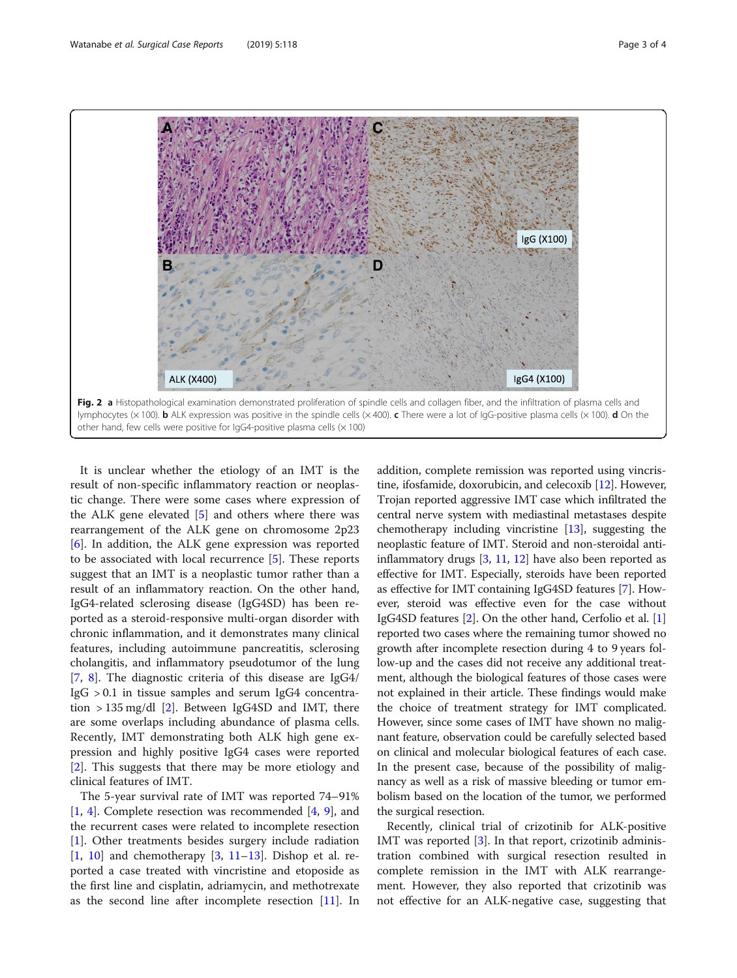<span id="page-2-0"></span>

It is unclear whether the etiology of an IMT is the result of non-specific inflammatory reaction or neoplastic change. There were some cases where expression of the ALK gene elevated [\[5](#page-3-0)] and others where there was rearrangement of the ALK gene on chromosome 2p23 [[6\]](#page-3-0). In addition, the ALK gene expression was reported to be associated with local recurrence [\[5\]](#page-3-0). These reports suggest that an IMT is a neoplastic tumor rather than a result of an inflammatory reaction. On the other hand, IgG4-related sclerosing disease (IgG4SD) has been reported as a steroid-responsive multi-organ disorder with chronic inflammation, and it demonstrates many clinical features, including autoimmune pancreatitis, sclerosing cholangitis, and inflammatory pseudotumor of the lung [[7,](#page-3-0) [8](#page-3-0)]. The diagnostic criteria of this disease are IgG4/  $I$ g $G > 0.1$  in tissue samples and serum Ig $G4$  concentration  $> 135 \text{ mg/dl}$  [[2\]](#page-3-0). Between IgG4SD and IMT, there are some overlaps including abundance of plasma cells. Recently, IMT demonstrating both ALK high gene expression and highly positive IgG4 cases were reported [[2\]](#page-3-0). This suggests that there may be more etiology and clinical features of IMT.

The 5-year survival rate of IMT was reported 74–91% [[1,](#page-3-0) [4](#page-3-0)]. Complete resection was recommended [\[4](#page-3-0), [9\]](#page-3-0), and the recurrent cases were related to incomplete resection [[1\]](#page-3-0). Other treatments besides surgery include radiation  $[1, 10]$  $[1, 10]$  $[1, 10]$  $[1, 10]$  $[1, 10]$  and chemotherapy  $[3, 11-13]$  $[3, 11-13]$  $[3, 11-13]$  $[3, 11-13]$  $[3, 11-13]$  $[3, 11-13]$ . Dishop et al. reported a case treated with vincristine and etoposide as the first line and cisplatin, adriamycin, and methotrexate as the second line after incomplete resection [[11](#page-3-0)]. In addition, complete remission was reported using vincristine, ifosfamide, doxorubicin, and celecoxib [[12](#page-3-0)]. However, Trojan reported aggressive IMT case which infiltrated the central nerve system with mediastinal metastases despite chemotherapy including vincristine [\[13\]](#page-3-0), suggesting the neoplastic feature of IMT. Steroid and non-steroidal antiinflammatory drugs [\[3](#page-3-0), [11,](#page-3-0) [12\]](#page-3-0) have also been reported as effective for IMT. Especially, steroids have been reported as effective for IMT containing IgG4SD features [\[7\]](#page-3-0). However, steroid was effective even for the case without IgG4SD features [[2\]](#page-3-0). On the other hand, Cerfolio et al. [[1](#page-3-0)] reported two cases where the remaining tumor showed no growth after incomplete resection during 4 to 9 years follow-up and the cases did not receive any additional treatment, although the biological features of those cases were not explained in their article. These findings would make the choice of treatment strategy for IMT complicated. However, since some cases of IMT have shown no malignant feature, observation could be carefully selected based on clinical and molecular biological features of each case. In the present case, because of the possibility of malignancy as well as a risk of massive bleeding or tumor embolism based on the location of the tumor, we performed the surgical resection.

Recently, clinical trial of crizotinib for ALK-positive IMT was reported [\[3](#page-3-0)]. In that report, crizotinib administration combined with surgical resection resulted in complete remission in the IMT with ALK rearrangement. However, they also reported that crizotinib was not effective for an ALK-negative case, suggesting that